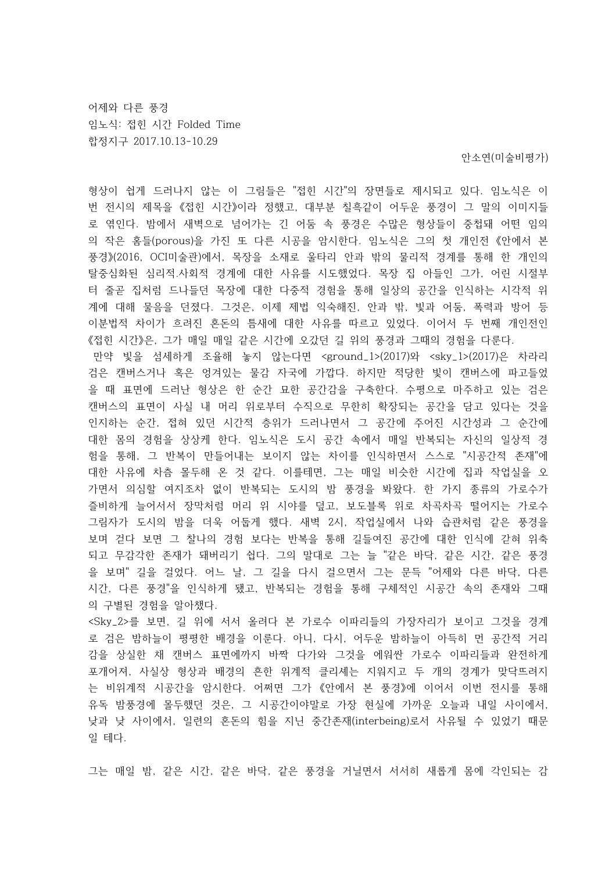어제와 다른 풍경 임노식: 접힌 시간 Folded Time 합정지구 2017.10.13-10.29

안소연(미술비평가)

형상이 쉽게 드러나지 않는 이 그림들은 "접힌 시간"의 장면들로 제시되고 있다. 임노식은 이 번 전시의 제목을 《접힌 시간》이라 정했고, 대부분 칠흑같이 어두운 풍경이 그 말의 이미지들 로 엮인다. 밤에서 새벽으로 넘어가는 긴 어둠 속 풍경은 수많은 형상들이 중첩돼 어떤 임의 의 작은 홈들(porous)을 가진 또 다른 시공을 암시한다. 임노식은 그의 첫 개인전 《안에서 본 풍경》(2016, OCI미술관)에서, 목장을 소재로 울타리 안과 밖의 물리적 경계를 통해 한 개인의 탈중심화된 심리적.사회적 경계에 대한 사유를 시도했었다. 목장 집 아들인 그가, 어린 시절부 터 줄곧 집처럼 드나들던 목장에 대한 다중적 경험을 통해 일상의 공간을 인식하는 시각적 위 계에 대해 물음을 던졌다. 그것은, 이제 제법 익숙해진, 안과 밖, 빛과 어둠, 폭력과 방어 등 이분법적 차이가 흐려진 혼돈의 틈새에 대한 사유를 따르고 있었다. 이어서 두 번째 개인전인 《접힌 시간》은, 그가 매일 매일 같은 시간에 오갔던 길 위의 풍경과 그때의 경험을 다룬다. 만약 빛을 섬세하게 조율해 놓지 않는다면 <ground\_1>(2017)와 <sky\_1>(2017)은 차라리 검은 캔버스거나 혹은 엉겨있는 물감 자국에 가깝다. 하지만 적당한 빛이 캔버스에 파고들었 을 때 표면에 드러난 형상은 한 순간 묘한 공간감을 구축한다. 수평으로 마주하고 있는 검은 캔버스의 표면이 사실 내 머리 위로부터 수직으로 무한히 확장되는 공간을 담고 있다는 것을 인지하는 순간, 접혀 있던 시간적 층위가 드러나면서 그 공간에 주어진 시간성과 그 순간에 대한 몸의 경험을 상상케 한다. 임노식은 도시 공간 속에서 매일 반복되는 자신의 일상적 경 험을 통해, 그 반복이 만들어내는 보이지 않는 차이를 인식하면서 스스로 "시공간적 존재"에 대한 사유에 차츰 몰두해 온 것 같다. 이를테면, 그는 매일 비슷한 시간에 집과 작업실을 오 가면서 의심할 여지조차 없이 반복되는 도시의 밤 풍경을 봐왔다. 한 가지 종류의 가로수가 즐비하게 늘어서서 장막처럼 머리 위 시야를 덮고, 보도블록 위로 차곡차곡 떨어지는 가로수 그림자가 도시의 밤을 더욱 어둡게 했다. 새벽 2시, 작업실에서 나와 습관처럼 같은 풍경을 보며 걷다 보면 그 찰나의 경험 보다는 반복을 통해 길들여진 공간에 대한 인식에 갇혀 위축 되고 무감각한 존재가 돼버리기 쉽다. 그의 말대로 그는 늘 "같은 바닥, 같은 시간, 같은 풍경 을 보며" 길을 걸었다. 어느 날, 그 길을 다시 걸으면서 그는 문득 "어제와 다른 바닥, 다른 시간, 다른 풍경"을 인식하게 됐고, 반복되는 경험을 통해 구체적인 시공간 속의 존재와 그때 의 구별된 경험을 알아챘다.

<Sky\_2>를 보면, 길 위에 서서 올려다 본 가로수 이파리들의 가장자리가 보이고 그것을 경계 로 검은 밤하늘이 평평한 배경을 이룬다. 아니, 다시, 어두운 밤하늘이 아득히 먼 공간적 거리 감을 상실한 채 캔버스 표면에까지 바짝 다가와 그것을 에워싼 가로수 이파리들과 완전하게 포개어져, 사실상 형상과 배경의 흔한 위계적 클리셰는 지워지고 두 개의 경계가 맞닥뜨려지 는 비위계적 시공간을 암시한다. 어쩌면 그가 《안에서 본 풍경》에 이어서 이번 전시를 통해 유독 밤풍경에 몰두했던 것은, 그 시공간이야말로 가장 현실에 가까운 오늘과 내일 사이에서, 낮과 낮 사이에서, 일련의 혼돈의 힘을 지닌 중간존재(interbeing)로서 사유될 수 있었기 때문 일 테다.

그는 매일 밤, 같은 시간, 같은 바닥, 같은 풍경을 거닐면서 서서히 새롭게 몸에 각인되는 감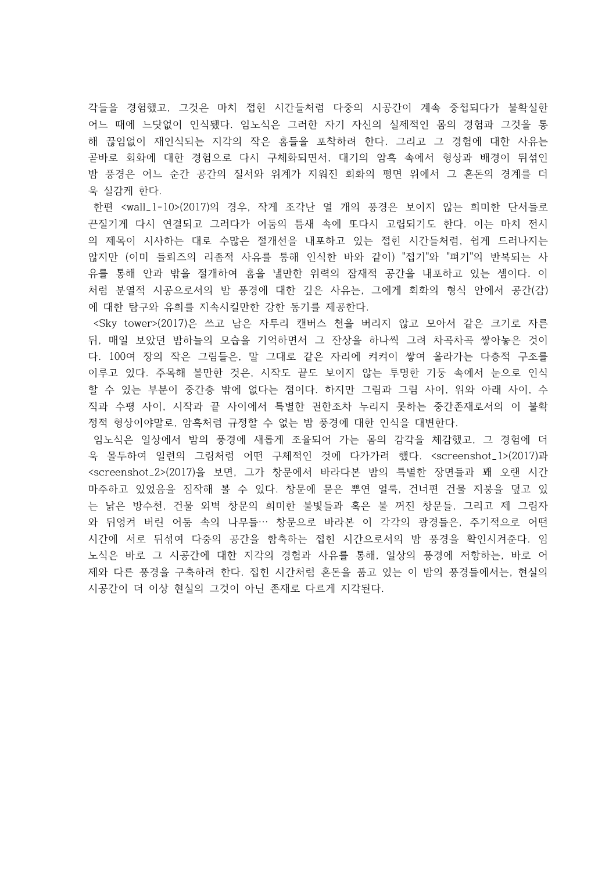각들을 경험했고, 그것은 마치 접힌 시간들처럼 다중의 시공간이 계속 중첩되다가 불확실한 어느 때에 느닷없이 인식됐다. 임노식은 그러한 자기 자신의 실제적인 몸의 경험과 그것을 통 해 끊임없이 재인식되는 지각의 작은 홈들을 포착하려 한다. 그리고 그 경험에 대한 사유는 곧바로 회화에 대한 경험으로 다시 구체화되면서, 대기의 암흑 속에서 형상과 배경이 뒤섞인 밤 풍경은 어느 순간 공간의 질서와 위계가 지워진 회화의 평면 위에서 그 혼돈의 경계를 더 욱 실감케 한다.

한편 <wall\_1-10>(2017)의 경우, 작게 조각난 열 개의 풍경은 보이지 않는 희미한 단서들로 끈질기게 다시 연결되고 그러다가 어둠의 틈새 속에 또다시 고립되기도 한다. 이는 마치 전시 의 제목이 시사하는 대로 수많은 절개선을 내포하고 있는 접힌 시간들처럼, 쉽게 드러나지는 않지만 (이미 들뢰즈의 리좀적 사유를 통해 인식한 바와 같이) "접기"와 "펴기"의 반복되는 사 유를 통해 안과 밖을 절개하여 홈을 낼만한 위력의 잠재적 공간을 내포하고 있는 셈이다. 이 처럼 분열적 시공으로서의 밤 풍경에 대한 깊은 사유는, 그에게 회화의 형식 안에서 공간(감) 에 대한 탐구와 유희를 지속시킬만한 강한 동기를 제공한다.

 <Sky tower>(2017)은 쓰고 남은 자투리 캔버스 천을 버리지 않고 모아서 같은 크기로 자른 뒤, 매일 보았던 밤하늘의 모습을 기억하면서 그 잔상을 하나씩 그려 차곡차곡 쌓아놓은 것이 다. 100여 장의 작은 그림들은, 말 그대로 같은 자리에 켜켜이 쌓여 올라가는 다층적 구조를 이루고 있다. 주목해 볼만한 것은, 시작도 끝도 보이지 않는 투명한 기둥 속에서 눈으로 인식 할 수 있는 부분이 중간층 밖에 없다는 점이다. 하지만 그림과 그림 사이, 위와 아래 사이, 수 직과 수평 사이, 시작과 끝 사이에서 특별한 권한조차 누리지 못하는 중간존재로서의 이 불확 정적 형상이야말로, 암흑처럼 규정할 수 없는 밤 풍경에 대한 인식을 대변한다.

임노식은 일상에서 밤의 풍경에 새롭게 조율되어 가는 몸의 감각을 체감했고, 그 경험에 더 욱 몰두하여 일련의 그림처럼 어떤 구체적인 것에 다가가려 했다. <screenshot\_1>(2017)과 <screenshot\_2>(2017)을 보면, 그가 창문에서 바라다본 밤의 특별한 장면들과 꽤 오랜 시간 마주하고 있었음을 짐작해 볼 수 있다. 창문에 묻은 뿌연 얼룩, 건너편 건물 지붕을 덮고 있 는 낡은 방수천, 건물 외벽 창문의 희미한 불빛들과 혹은 불 꺼진 창문들, 그리고 제 그림자 와 뒤엉켜 버린 어둠 속의 나무들… 창문으로 바라본 이 각각의 광경들은, 주기적으로 어떤 시간에 서로 뒤섞여 다중의 공간을 함축하는 접힌 시간으로서의 밤 풍경을 확인시켜준다. 임 노식은 바로 그 시공간에 대한 지각의 경험과 사유를 통해, 일상의 풍경에 저항하는, 바로 어 제와 다른 풍경을 구축하려 한다. 접힌 시간처럼 혼돈을 품고 있는 이 밤의 풍경들에서는, 현실의 시공간이 더 이상 현실의 그것이 아닌 존재로 다르게 지각된다.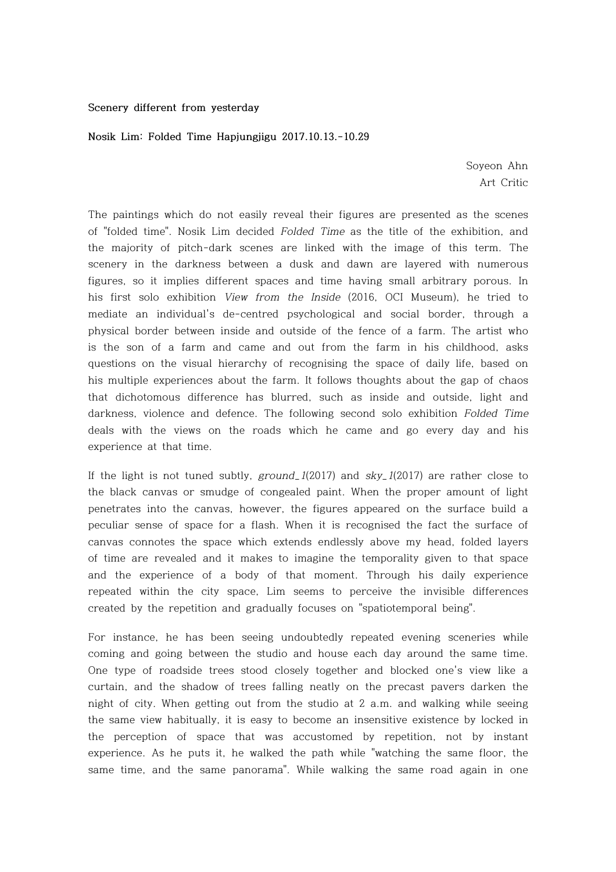## **Scenery different from yesterday**

## **Nosik Lim: Folded Time Hapjungjigu 2017.10.13.-10.29**

Soyeon Ahn Art Critic

The paintings which do not easily reveal their figures are presented as the scenes of "folded time". Nosik Lim decided Folded Time as the title of the exhibition, and the majority of pitch-dark scenes are linked with the image of this term. The scenery in the darkness between a dusk and dawn are layered with numerous figures, so it implies different spaces and time having small arbitrary porous. In his first solo exhibition View from the Inside (2016, OCI Museum), he tried to mediate an individual's de-centred psychological and social border, through a physical border between inside and outside of the fence of a farm. The artist who is the son of a farm and came and out from the farm in his childhood, asks questions on the visual hierarchy of recognising the space of daily life, based on his multiple experiences about the farm. It follows thoughts about the gap of chaos that dichotomous difference has blurred, such as inside and outside, light and darkness, violence and defence. The following second solo exhibition Folded Time deals with the views on the roads which he came and go every day and his experience at that time.

If the light is not tuned subtly,  $ground_{1}(2017)$  and  $sky_{1}(2017)$  are rather close to the black canvas or smudge of congealed paint. When the proper amount of light penetrates into the canvas, however, the figures appeared on the surface build a peculiar sense of space for a flash. When it is recognised the fact the surface of canvas connotes the space which extends endlessly above my head, folded layers of time are revealed and it makes to imagine the temporality given to that space and the experience of a body of that moment. Through his daily experience repeated within the city space, Lim seems to perceive the invisible differences created by the repetition and gradually focuses on "spatiotemporal being".

For instance, he has been seeing undoubtedly repeated evening sceneries while coming and going between the studio and house each day around the same time. One type of roadside trees stood closely together and blocked one's view like a curtain, and the shadow of trees falling neatly on the precast pavers darken the night of city. When getting out from the studio at 2 a.m. and walking while seeing the same view habitually, it is easy to become an insensitive existence by locked in the perception of space that was accustomed by repetition, not by instant experience. As he puts it, he walked the path while "watching the same floor, the same time, and the same panorama". While walking the same road again in one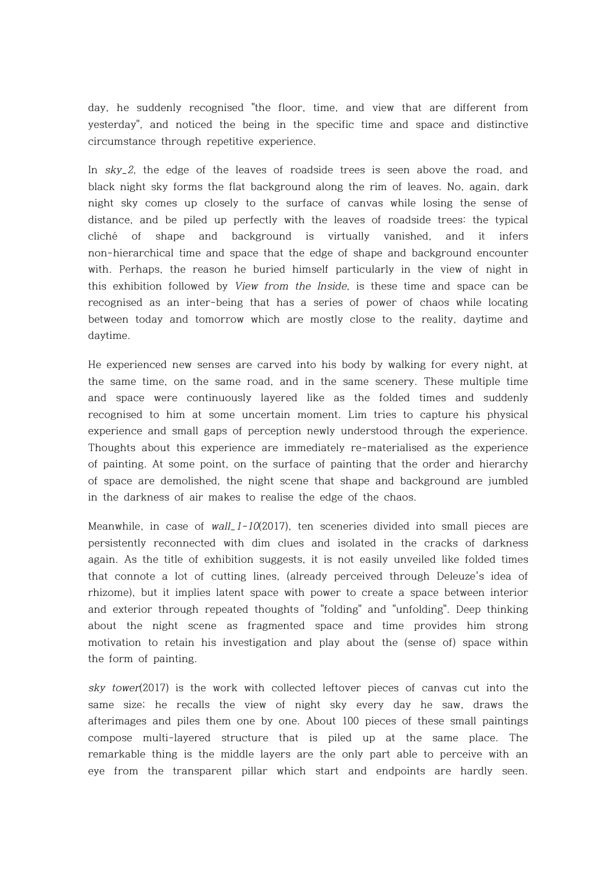day, he suddenly recognised "the floor, time, and view that are different from yesterday", and noticed the being in the specific time and space and distinctive circumstance through repetitive experience.

In sky\_2, the edge of the leaves of roadside trees is seen above the road, and black night sky forms the flat background along the rim of leaves. No, again, dark night sky comes up closely to the surface of canvas while losing the sense of distance, and be piled up perfectly with the leaves of roadside trees: the typical cliché of shape and background is virtually vanished, and it infers non-hierarchical time and space that the edge of shape and background encounter with. Perhaps, the reason he buried himself particularly in the view of night in this exhibition followed by View from the Inside, is these time and space can be recognised as an inter-being that has a series of power of chaos while locating between today and tomorrow which are mostly close to the reality, daytime and daytime.

He experienced new senses are carved into his body by walking for every night, at the same time, on the same road, and in the same scenery. These multiple time and space were continuously layered like as the folded times and suddenly recognised to him at some uncertain moment. Lim tries to capture his physical experience and small gaps of perception newly understood through the experience. Thoughts about this experience are immediately re-materialised as the experience of painting. At some point, on the surface of painting that the order and hierarchy of space are demolished, the night scene that shape and background are jumbled in the darkness of air makes to realise the edge of the chaos.

Meanwhile, in case of wall\_1-10(2017), ten sceneries divided into small pieces are persistently reconnected with dim clues and isolated in the cracks of darkness again. As the title of exhibition suggests, it is not easily unveiled like folded times that connote a lot of cutting lines, (already perceived through Deleuze's idea of rhizome), but it implies latent space with power to create a space between interior and exterior through repeated thoughts of "folding" and "unfolding". Deep thinking about the night scene as fragmented space and time provides him strong motivation to retain his investigation and play about the (sense of) space within the form of painting.

sky tower(2017) is the work with collected leftover pieces of canvas cut into the same size; he recalls the view of night sky every day he saw, draws the afterimages and piles them one by one. About 100 pieces of these small paintings compose multi-layered structure that is piled up at the same place. The remarkable thing is the middle layers are the only part able to perceive with an eye from the transparent pillar which start and endpoints are hardly seen.